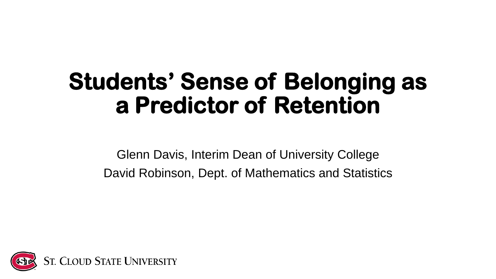#### **Students' Sense of Belonging as a Predictor of Retention**

Glenn Davis, Interim Dean of University College David Robinson, Dept. of Mathematics and Statistics

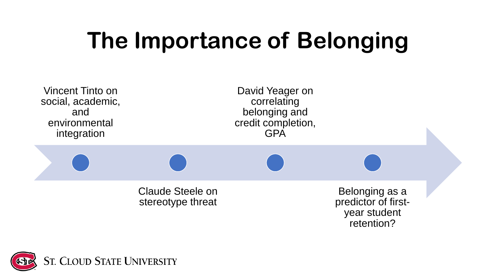## **The Importance of Belonging**



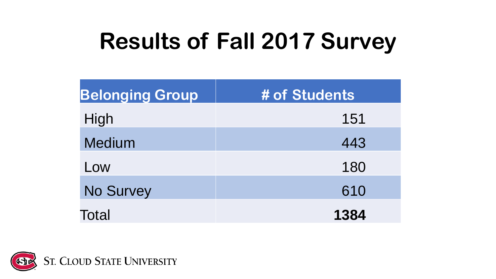## **Results of Fall 2017 Survey**

| <b>Belonging Group</b> | # of Students |  |  |
|------------------------|---------------|--|--|
| High                   | 151           |  |  |
| <b>Medium</b>          | 443           |  |  |
| Low                    | 180           |  |  |
| <b>No Survey</b>       | 610           |  |  |
| Total                  | 1384          |  |  |

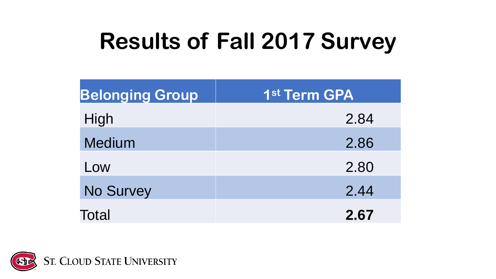## **Results of Fall 2017 Survey**

| <b>Belonging Group</b> | 1st Term GPA |  |  |
|------------------------|--------------|--|--|
| High                   | 2.84         |  |  |
| <b>Medium</b>          | 2.86         |  |  |
| Low                    | 2.80         |  |  |
| <b>No Survey</b>       | 2.44         |  |  |
| Total                  | 2.67         |  |  |

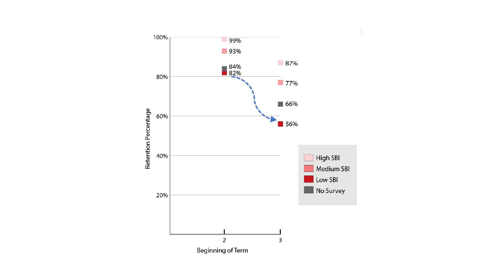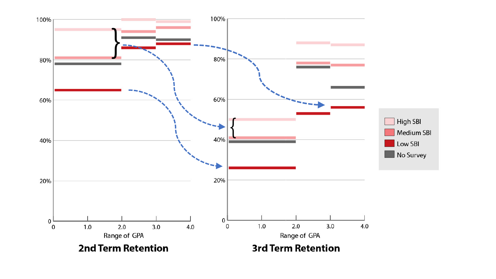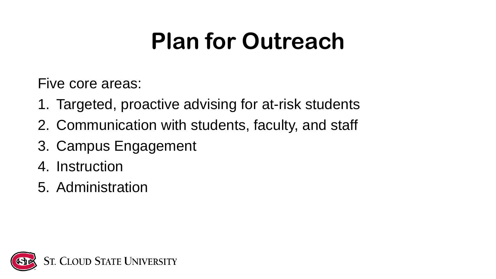#### **Plan for Outreach**

Five core areas:

- 1. Targeted, proactive advising for at-risk students
- 2. Communication with students, faculty, and staff
- 3. Campus Engagement
- 4. Instruction
- 5. Administration

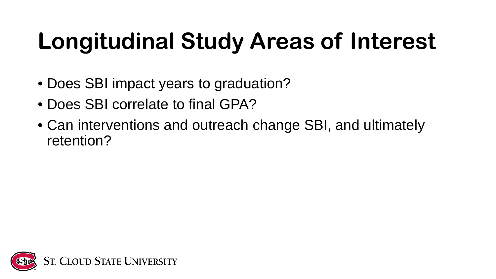# **Longitudinal Study Areas of Interest**

- Does SBI impact years to graduation?
- Does SBI correlate to final GPA?
- Can interventions and outreach change SBI, and ultimately retention?